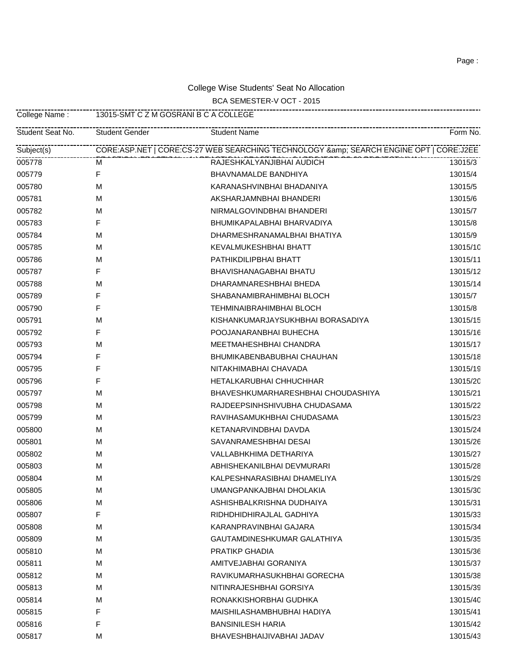## College Wise Students' Seat No Allocation

### BCA SEMESTER-V OCT - 2015

| College Name: |  |  |  |
|---------------|--|--|--|
|---------------|--|--|--|

# College Name : 13015-SMT C Z M GOSRANI B C A COLLEGE

| Student Seat No. |   |                                    | Form No. |
|------------------|---|------------------------------------|----------|
| Subject(s)       |   |                                    |          |
| 005778           | м | RAJESHKALYANJIBHAI AUDICH          | 13015/3  |
| 005779           | F | BHAVNAMALDE BANDHIYA               | 13015/4  |
| 005780           | М | KARANASHVINBHAI BHADANIYA          | 13015/5  |
| 005781           | M | AKSHARJAMNBHAI BHANDERI            | 13015/6  |
| 005782           | М | NIRMALGOVINDBHAI BHANDERI          | 13015/7  |
| 005783           | F | BHUMIKAPALABHAI BHARVADIYA         | 13015/8  |
| 005784           | M | DHARMESHRANAMALBHAI BHATIYA        | 13015/9  |
| 005785           | М | KEVALMUKESHBHAI BHATT              | 13015/10 |
| 005786           | М | PATHIKDILIPBHAI BHATT              | 13015/11 |
| 005787           | F | BHAVISHANAGABHAI BHATU             | 13015/12 |
| 005788           | M | DHARAMNARESHBHAI BHEDA             | 13015/14 |
| 005789           | F | SHABANAMIBRAHIMBHAI BLOCH          | 13015/7  |
| 005790           | F | <b>TEHMINAIBRAHIMBHAI BLOCH</b>    | 13015/8  |
| 005791           | M | KISHANKUMARJAYSUKHBHAI BORASADIYA  | 13015/15 |
| 005792           | F | POOJANARANBHAI BUHECHA             | 13015/16 |
| 005793           | M | MEETMAHESHBHAI CHANDRA             | 13015/17 |
| 005794           | F | BHUMIKABENBABUBHAI CHAUHAN         | 13015/18 |
| 005795           | F | NITAKHIMABHAI CHAVADA              | 13015/19 |
| 005796           | F | HETALKARUBHAI CHHUCHHAR            | 13015/20 |
| 005797           | M | BHAVESHKUMARHARESHBHAI CHOUDASHIYA | 13015/21 |
| 005798           | М | RAJDEEPSINHSHIVUBHA CHUDASAMA      | 13015/22 |
| 005799           | M | RAVIHASAMUKHBHAI CHUDASAMA         | 13015/23 |
| 005800           | M | KETANARVINDBHAI DAVDA              | 13015/24 |
| 005801           | М | SAVANRAMESHBHAI DESAI              | 13015/26 |
| 005802           | М | VALLABHKHIMA DETHARIYA             | 13015/27 |
| 005803           | M | ABHISHEKANILBHAI DEVMURARI         | 13015/28 |
| 005804           | M | KALPESHNARASIBHAI DHAMELIYA        | 13015/29 |
| 005805           | М | UMANGPANKAJBHAI DHOLAKIA           | 13015/30 |
| 005806           | M | ASHISHBALKRISHNA DUDHAIYA          | 13015/31 |
| 005807           | F | RIDHDHIDHIRAJLAL GADHIYA           | 13015/33 |
| 005808           | M | KARANPRAVINBHAI GAJARA             | 13015/34 |
| 005809           | M | GAUTAMDINESHKUMAR GALATHIYA        | 13015/35 |
| 005810           | М | PRATIKP GHADIA                     | 13015/36 |
| 005811           | М | AMITVEJABHAI GORANIYA              | 13015/37 |
| 005812           | М | RAVIKUMARHASUKHBHAI GORECHA        | 13015/38 |
| 005813           | M | NITINRAJESHBHAI GORSIYA            | 13015/39 |
| 005814           | М | RONAKKISHORBHAI GUDHKA             | 13015/40 |
| 005815           | F | MAISHILASHAMBHUBHAI HADIYA         | 13015/41 |
| 005816           | F | <b>BANSINILESH HARIA</b>           | 13015/42 |
| 005817           | M | BHAVESHBHAIJIVABHAI JADAV          | 13015/43 |

Page :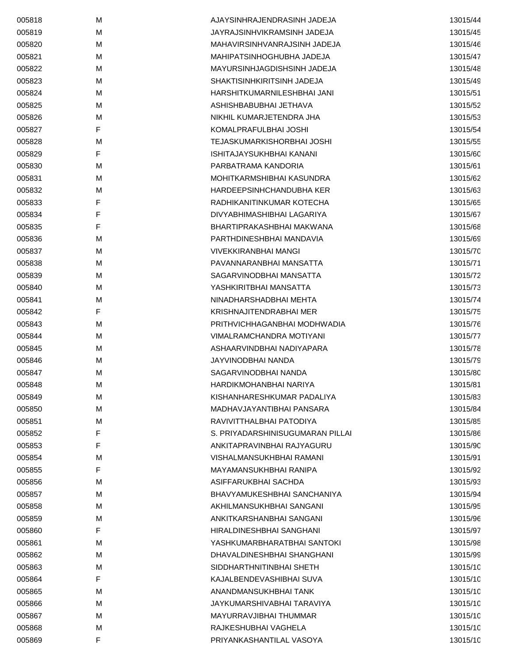| 005818 | М | AJAYSINHRAJENDRASINH JADEJA      | 13015/44 |
|--------|---|----------------------------------|----------|
| 005819 | M | JAYRAJSINHVIKRAMSINH JADEJA      | 13015/45 |
| 005820 | M | MAHAVIRSINHVANRAJSINH JADEJA     | 13015/46 |
| 005821 | M | MAHIPATSINHOGHUBHA JADEJA        | 13015/47 |
| 005822 | М | MAYURSINHJAGDISHSINH JADEJA      | 13015/48 |
| 005823 | M | SHAKTISINHKIRITSINH JADEJA       | 13015/49 |
| 005824 | М | HARSHITKUMARNILESHBHAI JANI      | 13015/51 |
| 005825 | М | ASHISHBABUBHAI JETHAVA           | 13015/52 |
| 005826 | M | NIKHIL KUMARJETENDRA JHA         | 13015/53 |
| 005827 | F | KOMALPRAFULBHAI JOSHI            | 13015/54 |
| 005828 | M | TEJASKUMARKISHORBHAI JOSHI       | 13015/55 |
| 005829 | F | ISHITAJAYSUKHBHAI KANANI         | 13015/60 |
| 005830 | М | PARBATRAMA KANDORIA              | 13015/61 |
| 005831 | М | MOHITKARMSHIBHAI KASUNDRA        | 13015/62 |
| 005832 | М | HARDEEPSINHCHANDUBHA KER         | 13015/63 |
| 005833 | F | RADHIKANITINKUMAR KOTECHA        | 13015/65 |
| 005834 | F | DIVYABHIMASHIBHAI LAGARIYA       | 13015/67 |
| 005835 | F | BHARTIPRAKASHBHAI MAKWANA        | 13015/68 |
| 005836 | M | PARTHDINESHBHAI MANDAVIA         | 13015/69 |
| 005837 | М | <b>VIVEKKIRANBHAI MANGI</b>      | 13015/70 |
| 005838 | M | PAVANNARANBHAI MANSATTA          | 13015/71 |
| 005839 | M | SAGARVINODBHAI MANSATTA          | 13015/72 |
| 005840 | M | YASHKIRITBHAI MANSATTA           | 13015/73 |
| 005841 | M | NINADHARSHADBHAI MEHTA           | 13015/74 |
| 005842 | F | <b>KRISHNAJITENDRABHAI MER</b>   | 13015/75 |
| 005843 | M | PRITHVICHHAGANBHAI MODHWADIA     | 13015/76 |
| 005844 | М | VIMALRAMCHANDRA MOTIYANI         | 13015/77 |
| 005845 | M | ASHAARVINDBHAI NADIYAPARA        | 13015/78 |
| 005846 | М | JAYVINODBHAI NANDA               | 13015/79 |
| 005847 | M | SAGARVINODBHAI NANDA             | 13015/80 |
| 005848 | М | HARDIKMOHANBHAI NARIYA           | 13015/81 |
| 005849 | М | KISHANHARESHKUMAR PADALIYA       | 13015/83 |
| 005850 | M | MADHAVJAYANTIBHAI PANSARA        | 13015/84 |
| 005851 | M | RAVIVITTHALBHAI PATODIYA         | 13015/85 |
| 005852 | F | S. PRIYADARSHINISUGUMARAN PILLAI | 13015/86 |
| 005853 | F | ANKITAPRAVINBHAI RAJYAGURU       | 13015/90 |
| 005854 | M | VISHALMANSUKHBHAI RAMANI         | 13015/91 |
| 005855 | F | MAYAMANSUKHBHAI RANIPA           | 13015/92 |
| 005856 | М | ASIFFARUKBHAI SACHDA             | 13015/93 |
| 005857 | M | BHAVYAMUKESHBHAI SANCHANIYA      | 13015/94 |
| 005858 | M | AKHILMANSUKHBHAI SANGANI         | 13015/95 |
| 005859 | M | ANKITKARSHANBHAI SANGANI         | 13015/96 |
| 005860 | F | HIRALDINESHBHAI SANGHANI         | 13015/97 |
| 005861 | М | YASHKUMARBHARATBHAI SANTOKI      | 13015/98 |
| 005862 | М | DHAVALDINESHBHAI SHANGHANI       | 13015/99 |
| 005863 | М | SIDDHARTHNITINBHAI SHETH         | 13015/10 |
| 005864 | F | KAJALBENDEVASHIBHAI SUVA         | 13015/10 |
| 005865 | M | ANANDMANSUKHBHAI TANK            | 13015/10 |
| 005866 | M | JAYKUMARSHIVABHAI TARAVIYA       | 13015/10 |
| 005867 | М | MAYURRAVJIBHAI THUMMAR           | 13015/10 |
| 005868 | М | RAJKESHUBHAI VAGHELA             | 13015/10 |
| 005869 | F | PRIYANKASHANTILAL VASOYA         | 13015/10 |
|        |   |                                  |          |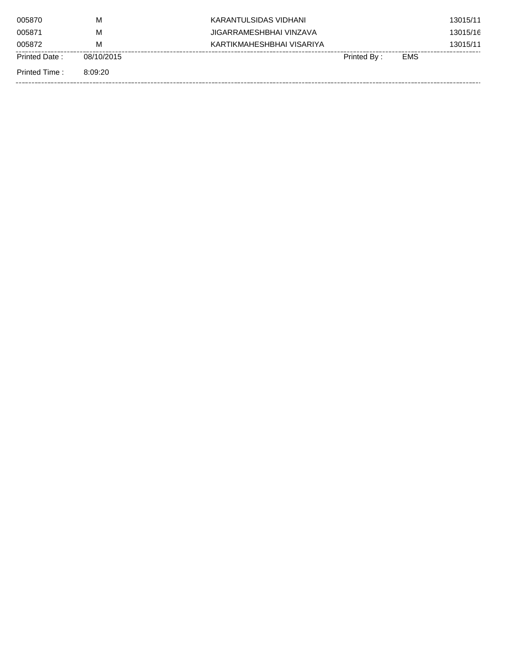| 005870        | М          | KARANTULSIDAS VIDHANI     |             |     | 13015/11 |
|---------------|------------|---------------------------|-------------|-----|----------|
| 005871        | M          | JIGARRAMESHBHAI VINZAVA   |             |     | 13015/16 |
| 005872        | м          | KARTIKMAHESHBHAI VISARIYA |             |     | 13015/11 |
| Printed Date: | 08/10/2015 |                           | Printed By: | EMS |          |
| Printed Time: | 8:09:20    |                           |             |     |          |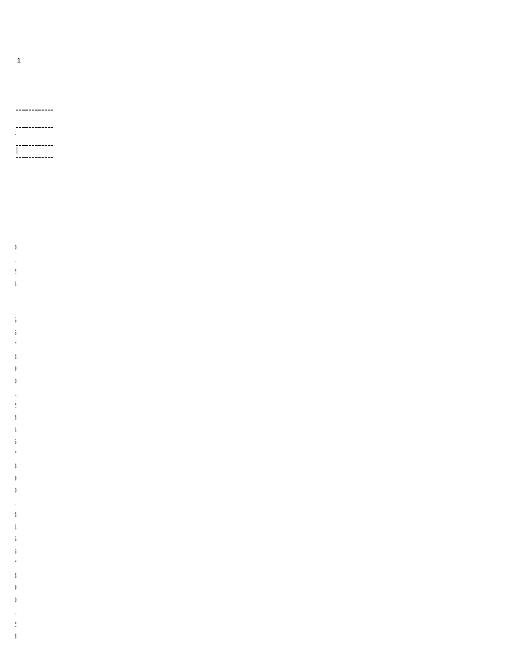# 1

. . . . . . . . . . .

---------

### Form No.

### 13015/10

13015/12

13015/14

### 13015/15

### 13015/16

13015/17

### 13015/18

13015/19

### 13015/20

13015/23

13015/26 13015/27

13015/29

# 13015/30

13015/33

13015/35 13015/36

# 13015/37

13015/38 13015/39

### 13015/40

13015/42 13015/43

13015/34

13015/28

13015/22

# 13015/24

### ..........

### CORE:ASP.NET | CORE:CS-27 WEB SEARCHING TECHNOLOGY & SEARCH ENGINE OPT | CORE:J2EE |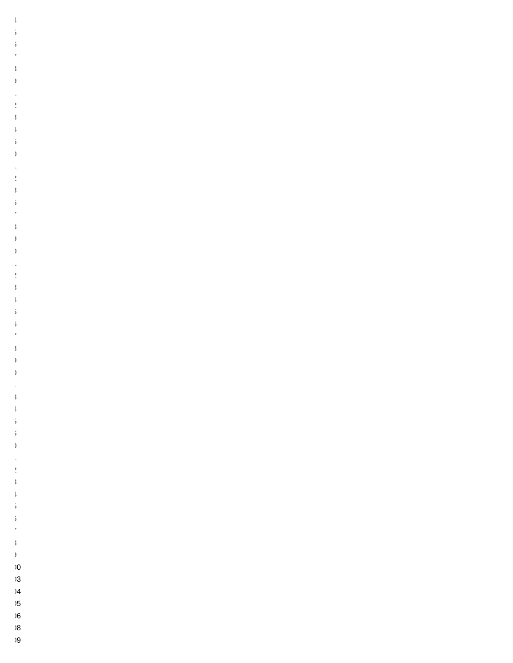13015/44 13015/45 13015/46 13015/47 13015/48 13015/49 13015/52 13015/53 13015/54 13015/55 13015/60 13015/62 13015/63 13015/65 13015/67 13015/68 13015/69 13015/70 13015/72 13015/73 13015/74 13015/75 13015/76 13015/77 13015/78 13015/79 13015/80 13015/83 13015/84 13015/85 13015/86 13015/90 13015/92 13015/93 13015/94 13015/95 13015/96 13015/97 13015/98 13015/99  $10$ 

 $3$  $\overline{14}$ 

 $15$  $6$ 

13015/109

 $8<sub>1</sub>$